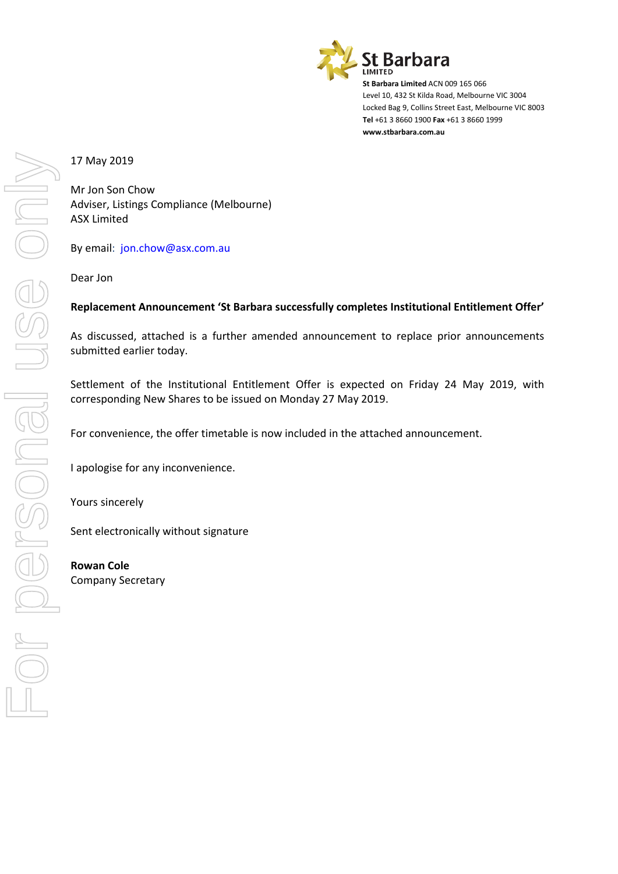

**St Barbara Limited** ACN 009 165 066 Level 10, 432 St Kilda Road, Melbourne VIC 3004 Locked Bag 9, Collins Street East, Melbourne VIC 8003 **Tel** +61 3 8660 1900 **Fax** +61 3 8660 1999 **www.stbarbara.com.au**

17 May 2019

Mr Jon Son Chow Adviser, Listings Compliance (Melbourne) ASX Limited

By email: jon.chow@asx.com.au

Dear Jon

#### **Replacement Announcement 'St Barbara successfully completes Institutional Entitlement Offer'**

As discussed, attached is a further amended announcement to replace prior announcements submitted earlier today.

Settlement of the Institutional Entitlement Offer is expected on Friday 24 May 2019, with corresponding New Shares to be issued on Monday 27 May 2019.

For convenience, the offer timetable is now included in the attached announcement.

I apologise for any inconvenience.

Yours sincerely

Sent electronically without signature

**Rowan Cole** Company Secretary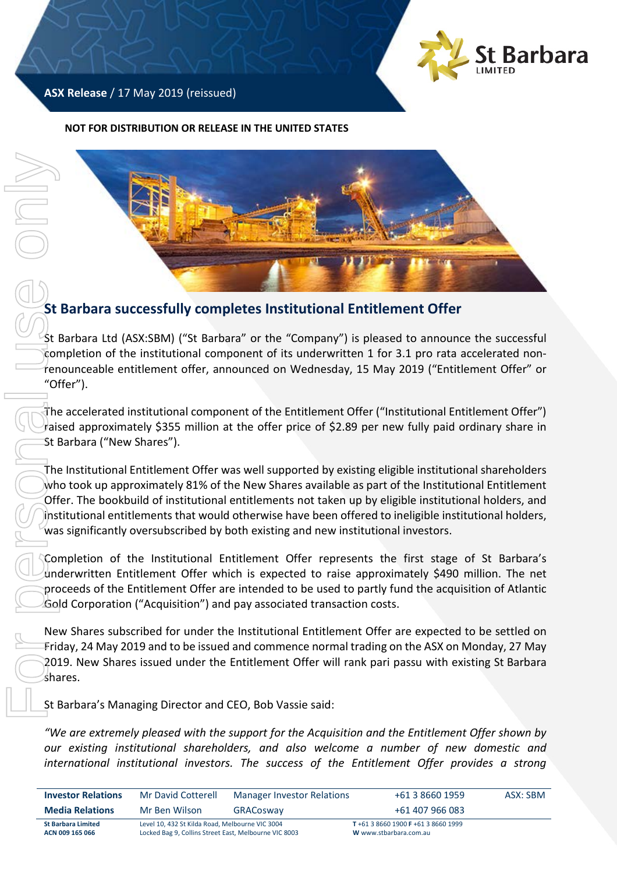

## **ASX Release** / 17 May 2019 (reissued)

#### **NOT FOR DISTRIBUTION OR RELEASE IN THE UNITED STATES**



# **St Barbara successfully completes Institutional Entitlement Offer**

St Barbara Ltd (ASX:SBM) ("St Barbara" or the "Company") is pleased to announce the successful completion of the institutional component of its underwritten 1 for 3.1 pro rata accelerated nonrenounceable entitlement offer, announced on Wednesday, 15 May 2019 ("Entitlement Offer" or "Offer").

The accelerated institutional component of the Entitlement Offer ("Institutional Entitlement Offer") raised approximately \$355 million at the offer price of \$2.89 per new fully paid ordinary share in St Barbara ("New Shares").

The Institutional Entitlement Offer was well supported by existing eligible institutional shareholders who took up approximately 81% of the New Shares available as part of the Institutional Entitlement Offer. The bookbuild of institutional entitlements not taken up by eligible institutional holders, and institutional entitlements that would otherwise have been offered to ineligible institutional holders, was significantly oversubscribed by both existing and new institutional investors.

Completion of the Institutional Entitlement Offer represents the first stage of St Barbara's underwritten Entitlement Offer which is expected to raise approximately \$490 million. The net proceeds of the Entitlement Offer are intended to be used to partly fund the acquisition of Atlantic Gold Corporation ("Acquisition") and pay associated transaction costs.

New Shares subscribed for under the Institutional Entitlement Offer are expected to be settled on Friday, 24 May 2019 and to be issued and commence normal trading on the ASX on Monday, 27 May 2019. New Shares issued under the Entitlement Offer will rank pari passu with existing St Barbara shares.

St Barbara's Managing Director and CEO, Bob Vassie said:

*"We are extremely pleased with the support for the Acquisition and the Entitlement Offer shown by our existing institutional shareholders, and also welcome a number of new domestic and* 

| <b>Investor Relations</b>                    | Mr David Cotterell                                                                                       | +61 3 8660 1959<br><b>Manager Investor Relations</b> |                                                             | ASX: SBM |
|----------------------------------------------|----------------------------------------------------------------------------------------------------------|------------------------------------------------------|-------------------------------------------------------------|----------|
| <b>Media Relations</b>                       | Mr Ben Wilson                                                                                            | GRACosway                                            | +61 407 966 083                                             |          |
| <b>St Barbara Limited</b><br>ACN 009 165 066 | Level 10, 432 St Kilda Road, Melbourne VIC 3004<br>Locked Bag 9, Collins Street East, Melbourne VIC 8003 |                                                      | T+61 3 8660 1900 F+61 3 8660 1999<br>W www.stbarbara.com.au |          |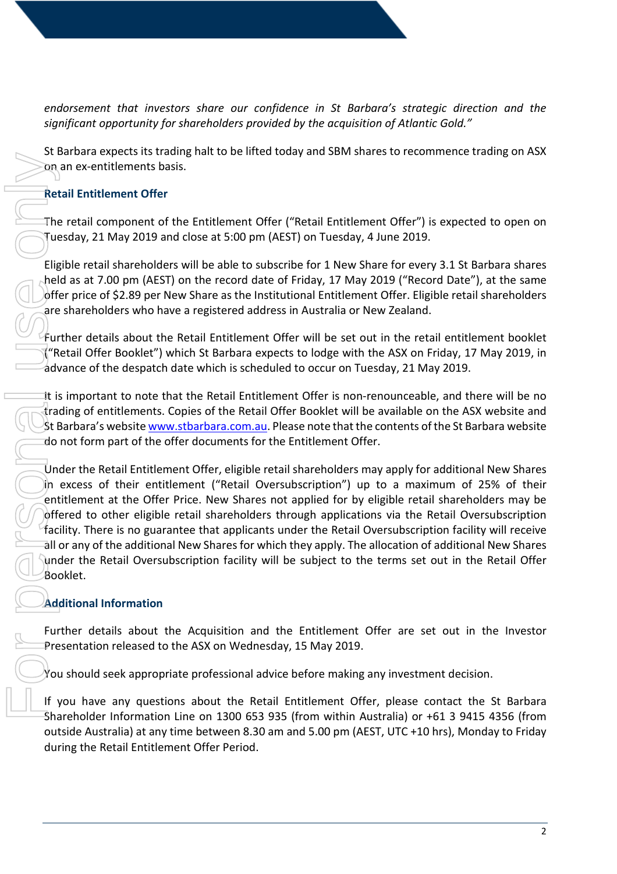*endorsement that investors share our confidence in St Barbara's strategic direction and the significant opportunity for shareholders provided by the acquisition of Atlantic Gold."*

St Barbara expects its trading halt to be lifted today and SBM shares to recommence trading on ASX on an ex-entitlements basis.

## **Retail Entitlement Offer**

The retail component of the Entitlement Offer ("Retail Entitlement Offer") is expected to open on Tuesday, 21 May 2019 and close at 5:00 pm (AEST) on Tuesday, 4 June 2019.

Eligible retail shareholders will be able to subscribe for 1 New Share for every 3.1 St Barbara shares held as at 7.00 pm (AEST) on the record date of Friday, 17 May 2019 ("Record Date"), at the same offer price of \$2.89 per New Share as the Institutional Entitlement Offer. Eligible retail shareholders are shareholders who have a registered address in Australia or New Zealand.

Further details about the Retail Entitlement Offer will be set out in the retail entitlement booklet ("Retail Offer Booklet") which St Barbara expects to lodge with the ASX on Friday, 17 May 2019, in advance of the despatch date which is scheduled to occur on Tuesday, 21 May 2019.

It is important to note that the Retail Entitlement Offer is non-renounceable, and there will be no trading of entitlements. Copies of the Retail Offer Booklet will be available on the ASX website and St Barbara's websit[e www.stbarbara.com.au.](http://www.stbarbara.com.au/) Please note that the contents of the St Barbara website do not form part of the offer documents for the Entitlement Offer.

Under the Retail Entitlement Offer, eligible retail shareholders may apply for additional New Shares in excess of their entitlement ("Retail Oversubscription") up to a maximum of 25% of their entitlement at the Offer Price. New Shares not applied for by eligible retail shareholders may be offered to other eligible retail shareholders through applications via the Retail Oversubscription facility. There is no guarantee that applicants under the Retail Oversubscription facility will receive all or any of the additional New Shares for which they apply. The allocation of additional New Shares under the Retail Oversubscription facility will be subject to the terms set out in the Retail Offer Booklet. Consume the Retail Entitlement of the Entitlement Offer<br>
The retail component of the Entitlement (Cluesday, 21 May 2019 and close at 5:00 pr<br>
Eligible retail shareholders will be able to some that at 7.00 pm (AEST) on the

# **Additional Information**

Further details about the Acquisition and the Entitlement Offer are set out in the Investor Presentation released to the ASX on Wednesday, 15 May 2019.

You should seek appropriate professional advice before making any investment decision.

If you have any questions about the Retail Entitlement Offer, please contact the St Barbara Shareholder Information Line on 1300 653 935 (from within Australia) or +61 3 9415 4356 (from outside Australia) at any time between 8.30 am and 5.00 pm (AEST, UTC +10 hrs), Monday to Friday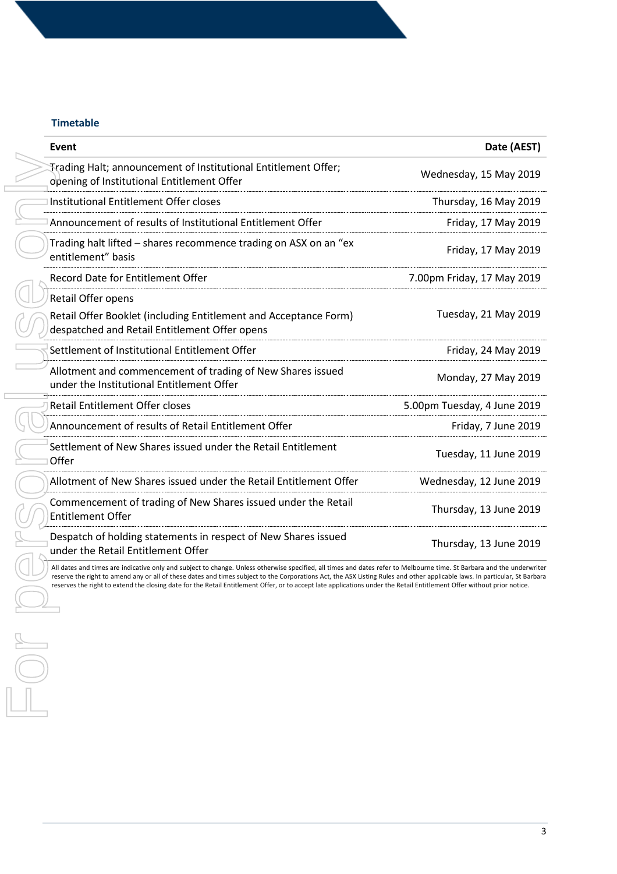# **Timetable**

| Event                                                                                                                                                                                                                                                                                                                                                                                                                                                                                                                           | Date (AEST)                 |
|---------------------------------------------------------------------------------------------------------------------------------------------------------------------------------------------------------------------------------------------------------------------------------------------------------------------------------------------------------------------------------------------------------------------------------------------------------------------------------------------------------------------------------|-----------------------------|
| Trading Halt; announcement of Institutional Entitlement Offer;<br>opening of Institutional Entitlement Offer                                                                                                                                                                                                                                                                                                                                                                                                                    | Wednesday, 15 May 2019      |
| Institutional Entitlement Offer closes                                                                                                                                                                                                                                                                                                                                                                                                                                                                                          | Thursday, 16 May 2019       |
| Announcement of results of Institutional Entitlement Offer                                                                                                                                                                                                                                                                                                                                                                                                                                                                      | Friday, 17 May 2019         |
| Trading halt lifted - shares recommence trading on ASX on an "ex<br>entitlement" basis                                                                                                                                                                                                                                                                                                                                                                                                                                          | Friday, 17 May 2019         |
| Record Date for Entitlement Offer                                                                                                                                                                                                                                                                                                                                                                                                                                                                                               | 7.00pm Friday, 17 May 2019  |
| Retail Offer opens<br>Retail Offer Booklet (including Entitlement and Acceptance Form)<br>despatched and Retail Entitlement Offer opens                                                                                                                                                                                                                                                                                                                                                                                         | Tuesday, 21 May 2019        |
| Settlement of Institutional Entitlement Offer                                                                                                                                                                                                                                                                                                                                                                                                                                                                                   | Friday, 24 May 2019         |
| Allotment and commencement of trading of New Shares issued<br>under the Institutional Entitlement Offer                                                                                                                                                                                                                                                                                                                                                                                                                         | Monday, 27 May 2019         |
| <b>Retail Entitlement Offer closes</b>                                                                                                                                                                                                                                                                                                                                                                                                                                                                                          | 5.00pm Tuesday, 4 June 2019 |
| Announcement of results of Retail Entitlement Offer                                                                                                                                                                                                                                                                                                                                                                                                                                                                             | Friday, 7 June 2019         |
| Settlement of New Shares issued under the Retail Entitlement<br>Offer                                                                                                                                                                                                                                                                                                                                                                                                                                                           | Tuesday, 11 June 2019       |
| Allotment of New Shares issued under the Retail Entitlement Offer                                                                                                                                                                                                                                                                                                                                                                                                                                                               | Wednesday, 12 June 2019     |
| Commencement of trading of New Shares issued under the Retail<br><b>Entitlement Offer</b>                                                                                                                                                                                                                                                                                                                                                                                                                                       | Thursday, 13 June 2019      |
| Despatch of holding statements in respect of New Shares issued<br>under the Retail Entitlement Offer                                                                                                                                                                                                                                                                                                                                                                                                                            | Thursday, 13 June 2019      |
| All dates and times are indicative only and subject to change. Unless otherwise specified, all times and dates refer to Melbourne time. St Barbara and the underwriter<br>reserve the right to amend any or all of these dates and times subject to the Corporations Act, the ASX Listing Rules and other applicable laws. In particular, St Barbara<br>reserves the right to extend the closing date for the Retail Entitlement Offer, or to accept late applications under the Retail Entitlement Offer without prior notice. |                             |